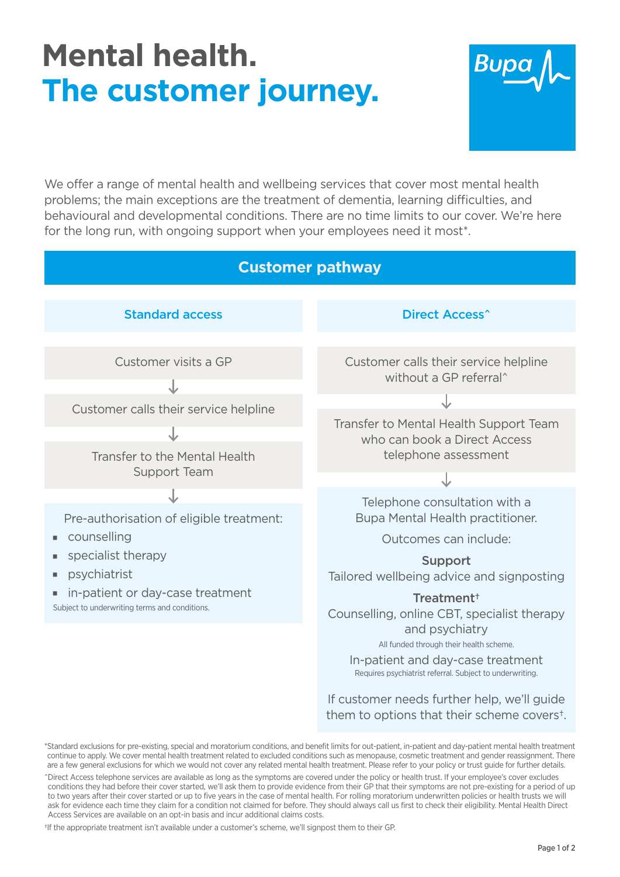## **Mental health. The customer journey.**



We offer a range of mental health and wellbeing services that cover most mental health problems; the main exceptions are the treatment of dementia, learning difficulties, and behavioural and developmental conditions. There are no time limits to our cover. We're here for the long run, with ongoing support when your employees need it most\*.



<sup>\*</sup>Standard exclusions for pre-existing, special and moratorium conditions, and benefit limits for out-patient, in-patient and day-patient mental health treatment continue to apply. We cover mental health treatment related to excluded conditions such as menopause, cosmetic treatment and gender reassignment. There are a few general exclusions for which we would not cover any related mental health treatment. Please refer to your policy or trust guide for further details.

†If the appropriate treatment isn't available under a customer's scheme, we'll signpost them to their GP.

them to options that their scheme covers†.

<sup>^</sup>Direct Access telephone services are available as long as the symptoms are covered under the policy or health trust. If your employee's cover excludes conditions they had before their cover started, we'll ask them to provide evidence from their GP that their symptoms are not pre-existing for a period of up to two years after their cover started or up to five years in the case of mental health. For rolling moratorium underwritten policies or health trusts we will ask for evidence each time they claim for a condition not claimed for before. They should always call us first to check their eligibility. Mental Health Direct Access Services are available on an opt-in basis and incur additional claims costs.